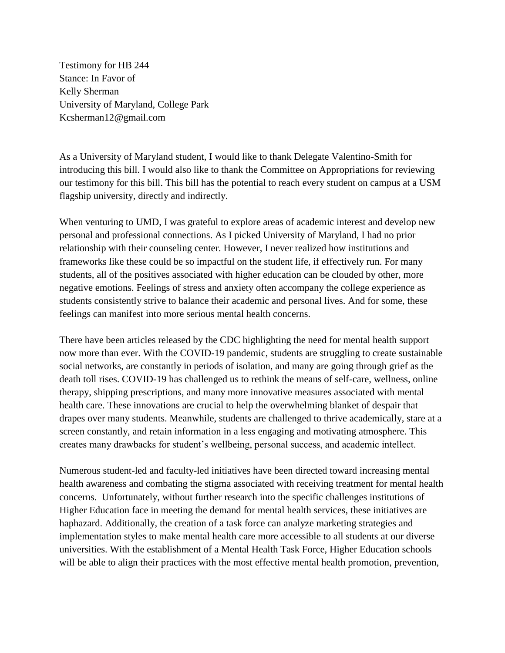Testimony for HB 244 Stance: In Favor of Kelly Sherman University of Maryland, College Park Kcsherman12@gmail.com

As a University of Maryland student, I would like to thank Delegate Valentino-Smith for introducing this bill. I would also like to thank the Committee on Appropriations for reviewing our testimony for this bill. This bill has the potential to reach every student on campus at a USM flagship university, directly and indirectly.

When venturing to UMD, I was grateful to explore areas of academic interest and develop new personal and professional connections. As I picked University of Maryland, I had no prior relationship with their counseling center. However, I never realized how institutions and frameworks like these could be so impactful on the student life, if effectively run. For many students, all of the positives associated with higher education can be clouded by other, more negative emotions. Feelings of stress and anxiety often accompany the college experience as students consistently strive to balance their academic and personal lives. And for some, these feelings can manifest into more serious mental health concerns.

There have been articles released by the CDC highlighting the need for mental health support now more than ever. With the COVID-19 pandemic, students are struggling to create sustainable social networks, are constantly in periods of isolation, and many are going through grief as the death toll rises. COVID-19 has challenged us to rethink the means of self-care, wellness, online therapy, shipping prescriptions, and many more innovative measures associated with mental health care. These innovations are crucial to help the overwhelming blanket of despair that drapes over many students. Meanwhile, students are challenged to thrive academically, stare at a screen constantly, and retain information in a less engaging and motivating atmosphere. This creates many drawbacks for student's wellbeing, personal success, and academic intellect.

Numerous student-led and faculty-led initiatives have been directed toward increasing mental health awareness and combating the stigma associated with receiving treatment for mental health concerns. Unfortunately, without further research into the specific challenges institutions of Higher Education face in meeting the demand for mental health services, these initiatives are haphazard. Additionally, the creation of a task force can analyze marketing strategies and implementation styles to make mental health care more accessible to all students at our diverse universities. With the establishment of a Mental Health Task Force, Higher Education schools will be able to align their practices with the most effective mental health promotion, prevention,